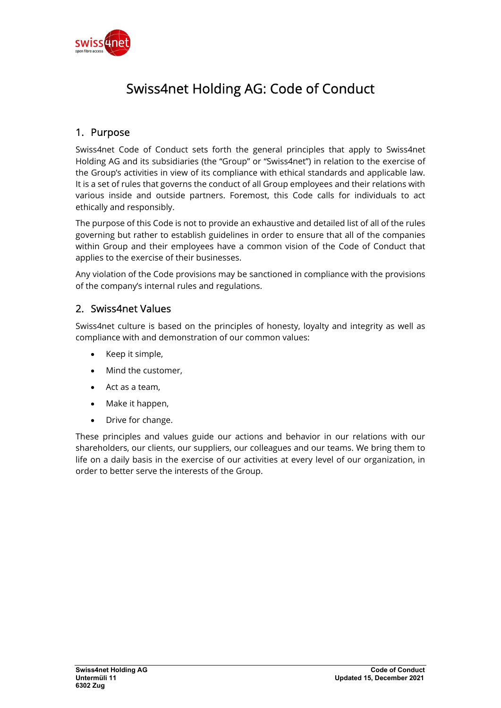

# Swiss4net Holding AG: Code of Conduct

# 1. Purpose

Swiss4net Code of Conduct sets forth the general principles that apply to Swiss4net Holding AG and its subsidiaries (the "Group" or "Swiss4net") in relation to the exercise of the Group's activities in view of its compliance with ethical standards and applicable law. It is a set of rules that governs the conduct of all Group employees and their relations with various inside and outside partners. Foremost, this Code calls for individuals to act ethically and responsibly.

The purpose of this Code is not to provide an exhaustive and detailed list of all of the rules governing but rather to establish guidelines in order to ensure that all of the companies within Group and their employees have a common vision of the Code of Conduct that applies to the exercise of their businesses.

Any violation of the Code provisions may be sanctioned in compliance with the provisions of the company's internal rules and regulations.

# 2. Swiss4net Values

Swiss4net culture is based on the principles of honesty, loyalty and integrity as well as compliance with and demonstration of our common values:

- Keep it simple,
- Mind the customer,
- Act as a team,
- Make it happen,
- Drive for change.

These principles and values guide our actions and behavior in our relations with our shareholders, our clients, our suppliers, our colleagues and our teams. We bring them to life on a daily basis in the exercise of our activities at every level of our organization, in order to better serve the interests of the Group.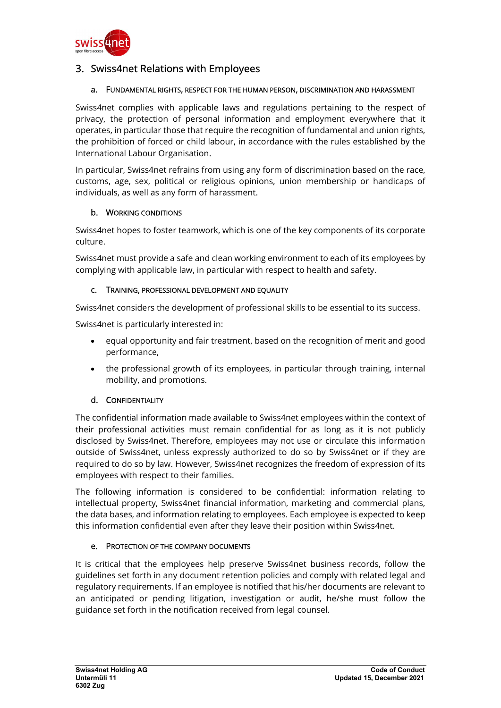

# 3. Swiss4net Relations with Employees

# a. FUNDAMENTAL RIGHTS, RESPECT FOR THE HUMAN PERSON, DISCRIMINATION AND HARASSMENT

Swiss4net complies with applicable laws and regulations pertaining to the respect of privacy, the protection of personal information and employment everywhere that it operates, in particular those that require the recognition of fundamental and union rights, the prohibition of forced or child labour, in accordance with the rules established by the International Labour Organisation.

In particular, Swiss4net refrains from using any form of discrimination based on the race, customs, age, sex, political or religious opinions, union membership or handicaps of individuals, as well as any form of harassment.

# b. WORKING CONDITIONS

Swiss4net hopes to foster teamwork, which is one of the key components of its corporate culture.

Swiss4net must provide a safe and clean working environment to each of its employees by complying with applicable law, in particular with respect to health and safety.

# c. TRAINING, PROFESSIONAL DEVELOPMENT AND EQUALITY

Swiss4net considers the development of professional skills to be essential to its success.

Swiss4net is particularly interested in:

- equal opportunity and fair treatment, based on the recognition of merit and good performance,
- the professional growth of its employees, in particular through training, internal mobility, and promotions.

# d. CONFIDENTIALITY

The confidential information made available to Swiss4net employees within the context of their professional activities must remain confidential for as long as it is not publicly disclosed by Swiss4net. Therefore, employees may not use or circulate this information outside of Swiss4net, unless expressly authorized to do so by Swiss4net or if they are required to do so by law. However, Swiss4net recognizes the freedom of expression of its employees with respect to their families.

The following information is considered to be confidential: information relating to intellectual property, Swiss4net financial information, marketing and commercial plans, the data bases, and information relating to employees. Each employee is expected to keep this information confidential even after they leave their position within Swiss4net.

# e. PROTECTION OF THE COMPANY DOCUMENTS

It is critical that the employees help preserve Swiss4net business records, follow the guidelines set forth in any document retention policies and comply with related legal and regulatory requirements. If an employee is notified that his/her documents are relevant to an anticipated or pending litigation, investigation or audit, he/she must follow the guidance set forth in the notification received from legal counsel.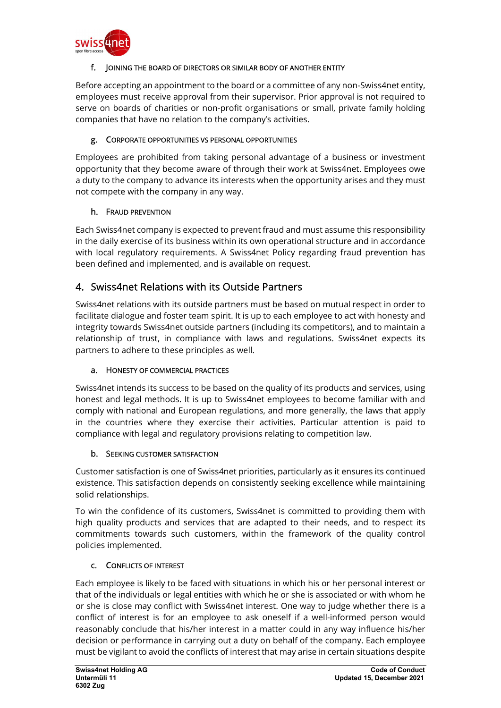

# f. JOINING THE BOARD OF DIRECTORS OR SIMILAR BODY OF ANOTHER ENTITY

Before accepting an appointment to the board or a committee of any non-Swiss4net entity, employees must receive approval from their supervisor. Prior approval is not required to serve on boards of charities or non-profit organisations or small, private family holding companies that have no relation to the company's activities.

# g. CORPORATE OPPORTUNITIES VS PERSONAL OPPORTUNITIES

Employees are prohibited from taking personal advantage of a business or investment opportunity that they become aware of through their work at Swiss4net. Employees owe a duty to the company to advance its interests when the opportunity arises and they must not compete with the company in any way.

# h. FRAUD PREVENTION

Each Swiss4net company is expected to prevent fraud and must assume this responsibility in the daily exercise of its business within its own operational structure and in accordance with local regulatory requirements. A Swiss4net Policy regarding fraud prevention has been defined and implemented, and is available on request.

# 4. Swiss4net Relations with its Outside Partners

Swiss4net relations with its outside partners must be based on mutual respect in order to facilitate dialogue and foster team spirit. It is up to each employee to act with honesty and integrity towards Swiss4net outside partners (including its competitors), and to maintain a relationship of trust, in compliance with laws and regulations. Swiss4net expects its partners to adhere to these principles as well.

# a. HONESTY OF COMMERCIAL PRACTICES

Swiss4net intends its success to be based on the quality of its products and services, using honest and legal methods. It is up to Swiss4net employees to become familiar with and comply with national and European regulations, and more generally, the laws that apply in the countries where they exercise their activities. Particular attention is paid to compliance with legal and regulatory provisions relating to competition law.

# b. SEEKING CUSTOMER SATISFACTION

Customer satisfaction is one of Swiss4net priorities, particularly as it ensures its continued existence. This satisfaction depends on consistently seeking excellence while maintaining solid relationships.

To win the confidence of its customers, Swiss4net is committed to providing them with high quality products and services that are adapted to their needs, and to respect its commitments towards such customers, within the framework of the quality control policies implemented.

# c. CONFLICTS OF INTEREST

Each employee is likely to be faced with situations in which his or her personal interest or that of the individuals or legal entities with which he or she is associated or with whom he or she is close may conflict with Swiss4net interest. One way to judge whether there is a conflict of interest is for an employee to ask oneself if a well-informed person would reasonably conclude that his/her interest in a matter could in any way influence his/her decision or performance in carrying out a duty on behalf of the company. Each employee must be vigilant to avoid the conflicts of interest that may arise in certain situations despite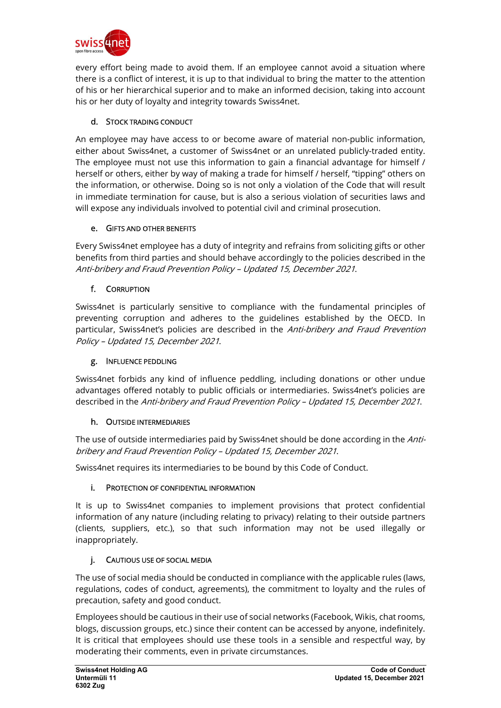

every effort being made to avoid them. If an employee cannot avoid a situation where there is a conflict of interest, it is up to that individual to bring the matter to the attention of his or her hierarchical superior and to make an informed decision, taking into account his or her duty of loyalty and integrity towards Swiss4net.

# d. STOCK TRADING CONDUCT

An employee may have access to or become aware of material non-public information, either about Swiss4net, a customer of Swiss4net or an unrelated publicly-traded entity. The employee must not use this information to gain a financial advantage for himself / herself or others, either by way of making a trade for himself / herself, "tipping" others on the information, or otherwise. Doing so is not only a violation of the Code that will result in immediate termination for cause, but is also a serious violation of securities laws and will expose any individuals involved to potential civil and criminal prosecution.

# e. GIFTS AND OTHER BENEFITS

Every Swiss4net employee has a duty of integrity and refrains from soliciting gifts or other benefits from third parties and should behave accordingly to the policies described in the Anti-bribery and Fraud Prevention Policy – Updated 15, December 2021.

# f. CORRUPTION

Swiss4net is particularly sensitive to compliance with the fundamental principles of preventing corruption and adheres to the guidelines established by the OECD. In particular, Swiss4net's policies are described in the Anti-bribery and Fraud Prevention Policy – Updated 15, December 2021.

# g. INFLUENCE PEDDLING

Swiss4net forbids any kind of influence peddling, including donations or other undue advantages offered notably to public officials or intermediaries. Swiss4net's policies are described in the Anti-bribery and Fraud Prevention Policy – Updated 15, December 2021.

# h. OUTSIDE INTERMEDIARIES

The use of outside intermediaries paid by Swiss4net should be done according in the Antibribery and Fraud Prevention Policy – Updated 15, December 2021.

Swiss4net requires its intermediaries to be bound by this Code of Conduct.

# i. PROTECTION OF CONFIDENTIAL INFORMATION

It is up to Swiss4net companies to implement provisions that protect confidential information of any nature (including relating to privacy) relating to their outside partners (clients, suppliers, etc.), so that such information may not be used illegally or inappropriately.

# j. CAUTIOUS USE OF SOCIAL MEDIA

The use of social media should be conducted in compliance with the applicable rules (laws, regulations, codes of conduct, agreements), the commitment to loyalty and the rules of precaution, safety and good conduct.

Employees should be cautious in their use of social networks (Facebook, Wikis, chat rooms, blogs, discussion groups, etc.) since their content can be accessed by anyone, indefinitely. It is critical that employees should use these tools in a sensible and respectful way, by moderating their comments, even in private circumstances.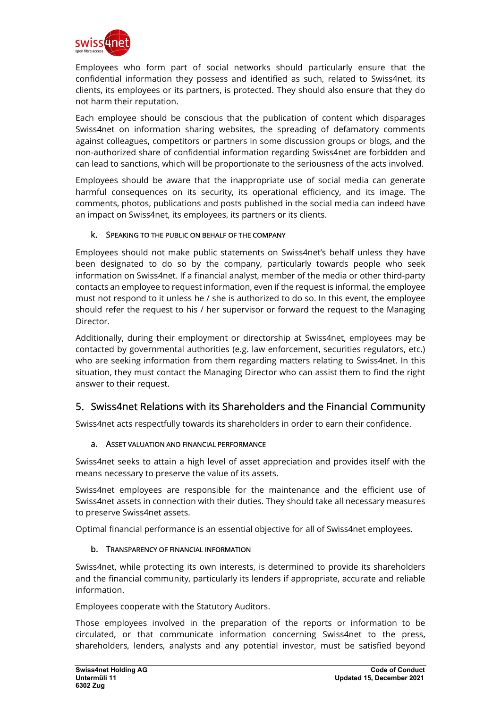

Employees who form part of social networks should particularly ensure that the confidential information they possess and identified as such, related to Swiss4net, its clients, its employees or its partners, is protected. They should also ensure that they do not harm their reputation.

Each employee should be conscious that the publication of content which disparages Swiss4net on information sharing websites, the spreading of defamatory comments against colleagues, competitors or partners in some discussion groups or blogs, and the non-authorized share of confidential information regarding Swiss4net are forbidden and can lead to sanctions, which will be proportionate to the seriousness of the acts involved.

Employees should be aware that the inappropriate use of social media can generate harmful consequences on its security, its operational efficiency, and its image. The comments, photos, publications and posts published in the social media can indeed have an impact on Swiss4net, its employees, its partners or its clients.

# k. SPEAKING TO THE PUBLIC ON BEHALF OF THE COMPANY

Employees should not make public statements on Swiss4net's behalf unless they have been designated to do so by the company, particularly towards people who seek information on Swiss4net. If a financial analyst, member of the media or other third-party contacts an employee to request information, even if the request is informal, the employee must not respond to it unless he / she is authorized to do so. In this event, the employee should refer the request to his / her supervisor or forward the request to the Managing Director.

Additionally, during their employment or directorship at Swiss4net, employees may be contacted by governmental authorities (e.g. law enforcement, securities regulators, etc.) who are seeking information from them regarding matters relating to Swiss4net. In this situation, they must contact the Managing Director who can assist them to find the right answer to their request.

# 5. Swiss4net Relations with its Shareholders and the Financial Community

Swiss4net acts respectfully towards its shareholders in order to earn their confidence.

# a. ASSET VALUATION AND FINANCIAL PERFORMANCE

Swiss4net seeks to attain a high level of asset appreciation and provides itself with the means necessary to preserve the value of its assets.

Swiss4net employees are responsible for the maintenance and the efficient use of Swiss4net assets in connection with their duties. They should take all necessary measures to preserve Swiss4net assets.

Optimal financial performance is an essential objective for all of Swiss4net employees.

# b. TRANSPARENCY OF FINANCIAL INFORMATION

Swiss4net, while protecting its own interests, is determined to provide its shareholders and the financial community, particularly its lenders if appropriate, accurate and reliable information.

Employees cooperate with the Statutory Auditors.

Those employees involved in the preparation of the reports or information to be circulated, or that communicate information concerning Swiss4net to the press, shareholders, lenders, analysts and any potential investor, must be satisfied beyond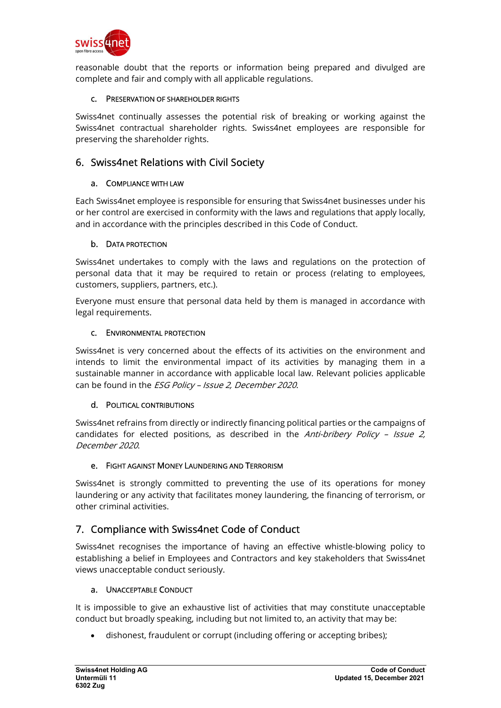

reasonable doubt that the reports or information being prepared and divulged are complete and fair and comply with all applicable regulations.

#### c. PRESERVATION OF SHAREHOLDER RIGHTS

Swiss4net continually assesses the potential risk of breaking or working against the Swiss4net contractual shareholder rights. Swiss4net employees are responsible for preserving the shareholder rights.

# 6. Swiss4net Relations with Civil Society

# a. COMPLIANCE WITH LAW

Each Swiss4net employee is responsible for ensuring that Swiss4net businesses under his or her control are exercised in conformity with the laws and regulations that apply locally, and in accordance with the principles described in this Code of Conduct.

#### b. DATA PROTECTION

Swiss4net undertakes to comply with the laws and regulations on the protection of personal data that it may be required to retain or process (relating to employees, customers, suppliers, partners, etc.).

Everyone must ensure that personal data held by them is managed in accordance with legal requirements.

#### c. ENVIRONMENTAL PROTECTION

Swiss4net is very concerned about the effects of its activities on the environment and intends to limit the environmental impact of its activities by managing them in a sustainable manner in accordance with applicable local law. Relevant policies applicable can be found in the ESG Policy – Issue 2, December 2020.

# d. POLITICAL CONTRIBUTIONS

Swiss4net refrains from directly or indirectly financing political parties or the campaigns of candidates for elected positions, as described in the Anti-bribery Policy - Issue 2, December 2020.

# e. FIGHT AGAINST MONEY LAUNDERING AND TERRORISM

Swiss4net is strongly committed to preventing the use of its operations for money laundering or any activity that facilitates money laundering, the financing of terrorism, or other criminal activities.

# 7. Compliance with Swiss4net Code of Conduct

Swiss4net recognises the importance of having an effective whistle-blowing policy to establishing a belief in Employees and Contractors and key stakeholders that Swiss4net views unacceptable conduct seriously.

#### a. UNACCEPTABLE CONDUCT

It is impossible to give an exhaustive list of activities that may constitute unacceptable conduct but broadly speaking, including but not limited to, an activity that may be:

dishonest, fraudulent or corrupt (including offering or accepting bribes);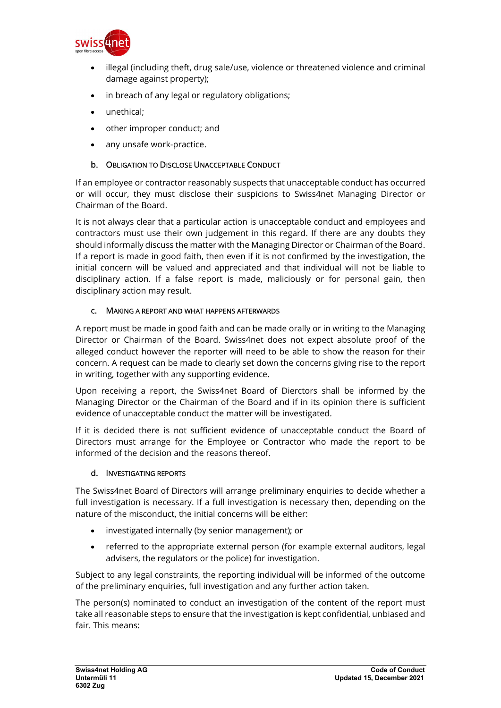

- illegal (including theft, drug sale/use, violence or threatened violence and criminal damage against property);
- in breach of any legal or regulatory obligations;
- unethical;
- other improper conduct; and
- any unsafe work-practice.

# b. OBLIGATION TO DISCLOSE UNACCEPTABLE CONDUCT

If an employee or contractor reasonably suspects that unacceptable conduct has occurred or will occur, they must disclose their suspicions to Swiss4net Managing Director or Chairman of the Board.

It is not always clear that a particular action is unacceptable conduct and employees and contractors must use their own judgement in this regard. If there are any doubts they should informally discuss the matter with the Managing Director or Chairman of the Board. If a report is made in good faith, then even if it is not confirmed by the investigation, the initial concern will be valued and appreciated and that individual will not be liable to disciplinary action. If a false report is made, maliciously or for personal gain, then disciplinary action may result.

#### c. MAKING A REPORT AND WHAT HAPPENS AFTERWARDS

A report must be made in good faith and can be made orally or in writing to the Managing Director or Chairman of the Board. Swiss4net does not expect absolute proof of the alleged conduct however the reporter will need to be able to show the reason for their concern. A request can be made to clearly set down the concerns giving rise to the report in writing, together with any supporting evidence.

Upon receiving a report, the Swiss4net Board of Dierctors shall be informed by the Managing Director or the Chairman of the Board and if in its opinion there is sufficient evidence of unacceptable conduct the matter will be investigated.

If it is decided there is not sufficient evidence of unacceptable conduct the Board of Directors must arrange for the Employee or Contractor who made the report to be informed of the decision and the reasons thereof.

# d. INVESTIGATING REPORTS

The Swiss4net Board of Directors will arrange preliminary enquiries to decide whether a full investigation is necessary. If a full investigation is necessary then, depending on the nature of the misconduct, the initial concerns will be either:

- investigated internally (by senior management); or
- referred to the appropriate external person (for example external auditors, legal advisers, the regulators or the police) for investigation.

Subject to any legal constraints, the reporting individual will be informed of the outcome of the preliminary enquiries, full investigation and any further action taken.

The person(s) nominated to conduct an investigation of the content of the report must take all reasonable steps to ensure that the investigation is kept confidential, unbiased and fair. This means: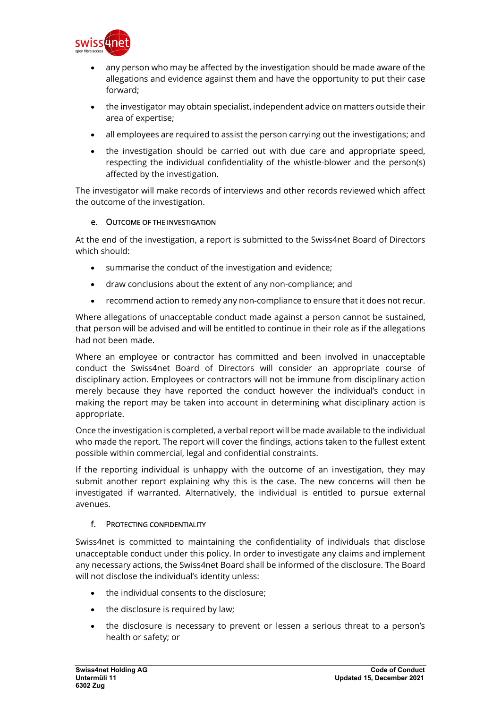

- any person who may be affected by the investigation should be made aware of the allegations and evidence against them and have the opportunity to put their case forward;
- the investigator may obtain specialist, independent advice on matters outside their area of expertise;
- all employees are required to assist the person carrying out the investigations; and
- the investigation should be carried out with due care and appropriate speed, respecting the individual confidentiality of the whistle-blower and the person(s) affected by the investigation.

The investigator will make records of interviews and other records reviewed which affect the outcome of the investigation.

# e. OUTCOME OF THE INVESTIGATION

At the end of the investigation, a report is submitted to the Swiss4net Board of Directors which should:

- summarise the conduct of the investigation and evidence;
- draw conclusions about the extent of any non-compliance; and
- recommend action to remedy any non-compliance to ensure that it does not recur.

Where allegations of unacceptable conduct made against a person cannot be sustained, that person will be advised and will be entitled to continue in their role as if the allegations had not been made.

Where an employee or contractor has committed and been involved in unacceptable conduct the Swiss4net Board of Directors will consider an appropriate course of disciplinary action. Employees or contractors will not be immune from disciplinary action merely because they have reported the conduct however the individual's conduct in making the report may be taken into account in determining what disciplinary action is appropriate.

Once the investigation is completed, a verbal report will be made available to the individual who made the report. The report will cover the findings, actions taken to the fullest extent possible within commercial, legal and confidential constraints.

If the reporting individual is unhappy with the outcome of an investigation, they may submit another report explaining why this is the case. The new concerns will then be investigated if warranted. Alternatively, the individual is entitled to pursue external avenues.

# f. PROTECTING CONFIDENTIALITY

Swiss4net is committed to maintaining the confidentiality of individuals that disclose unacceptable conduct under this policy. In order to investigate any claims and implement any necessary actions, the Swiss4net Board shall be informed of the disclosure. The Board will not disclose the individual's identity unless:

- the individual consents to the disclosure;
- the disclosure is required by law;
- the disclosure is necessary to prevent or lessen a serious threat to a person's health or safety; or